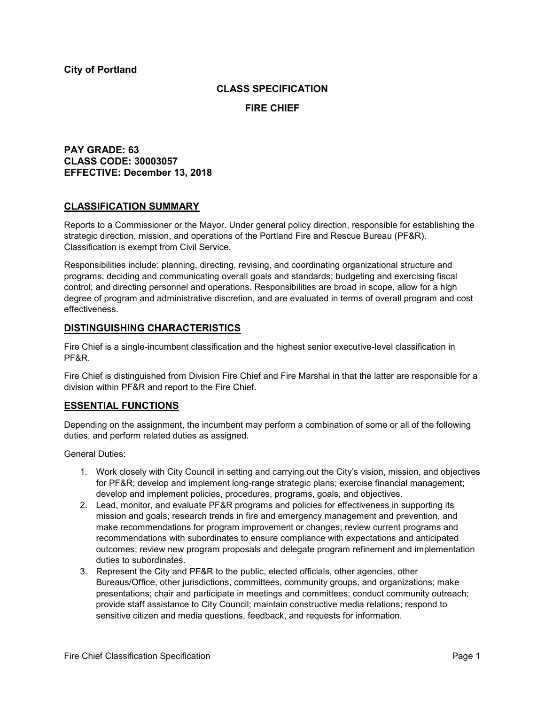### **CLASS SPECIFICATION**

**FIRE CHIEF**

## **PAY GRADE: 63 CLASS CODE: 30003057 EFFECTIVE: December 13, 2018**

### **CLASSIFICATION SUMMARY**

Reports to a Commissioner or the Mayor. Under general policy direction, responsible for establishing the strategic direction, mission, and operations of the Portland Fire and Rescue Bureau (PF&R). Classification is exempt from Civil Service.

Responsibilities include: planning, directing, revising, and coordinating organizational structure and programs; deciding and communicating overall goals and standards; budgeting and exercising fiscal control; and directing personnel and operations. Responsibilities are broad in scope, allow for a high degree of program and administrative discretion, and are evaluated in terms of overall program and cost effectiveness.

### **DISTINGUISHING CHARACTERISTICS**

Fire Chief is a single-incumbent classification and the highest senior executive-level classification in PF&R.

Fire Chief is distinguished from Division Fire Chief and Fire Marshal in that the latter are responsible for a division within PF&R and report to the Fire Chief.

## **ESSENTIAL FUNCTIONS**

Depending on the assignment, the incumbent may perform a combination of some or all of the following duties, and perform related duties as assigned.

General Duties:

- 1. Work closely with City Council in setting and carrying out the City's vision, mission, and objectives for PF&R; develop and implement long-range strategic plans; exercise financial management; develop and implement policies, procedures, programs, goals, and objectives.
- 2. Lead, monitor, and evaluate PF&R programs and policies for effectiveness in supporting its mission and goals; research trends in fire and emergency management and prevention, and make recommendations for program improvement or changes; review current programs and recommendations with subordinates to ensure compliance with expectations and anticipated outcomes; review new program proposals and delegate program refinement and implementation duties to subordinates.
- 3. Represent the City and PF&R to the public, elected officials, other agencies, other Bureaus/Office, other jurisdictions, committees, community groups, and organizations; make presentations; chair and participate in meetings and committees; conduct community outreach; provide staff assistance to City Council; maintain constructive media relations; respond to sensitive citizen and media questions, feedback, and requests for information.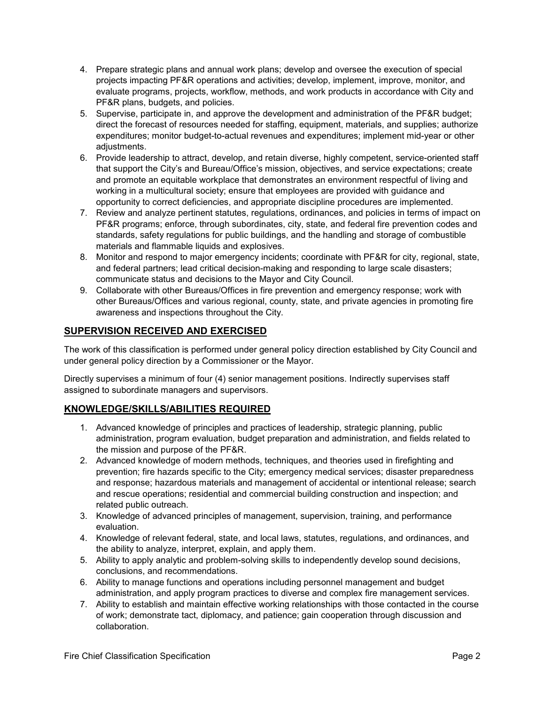- 4. Prepare strategic plans and annual work plans; develop and oversee the execution of special projects impacting PF&R operations and activities; develop, implement, improve, monitor, and evaluate programs, projects, workflow, methods, and work products in accordance with City and PF&R plans, budgets, and policies.
- 5. Supervise, participate in, and approve the development and administration of the PF&R budget; direct the forecast of resources needed for staffing, equipment, materials, and supplies; authorize expenditures; monitor budget-to-actual revenues and expenditures; implement mid-year or other adjustments.
- 6. Provide leadership to attract, develop, and retain diverse, highly competent, service-oriented staff that support the City's and Bureau/Office's mission, objectives, and service expectations; create and promote an equitable workplace that demonstrates an environment respectful of living and working in a multicultural society; ensure that employees are provided with guidance and opportunity to correct deficiencies, and appropriate discipline procedures are implemented.
- 7. Review and analyze pertinent statutes, regulations, ordinances, and policies in terms of impact on PF&R programs; enforce, through subordinates, city, state, and federal fire prevention codes and standards, safety regulations for public buildings, and the handling and storage of combustible materials and flammable liquids and explosives.
- 8. Monitor and respond to major emergency incidents; coordinate with PF&R for city, regional, state, and federal partners; lead critical decision-making and responding to large scale disasters; communicate status and decisions to the Mayor and City Council.
- 9. Collaborate with other Bureaus/Offices in fire prevention and emergency response; work with other Bureaus/Offices and various regional, county, state, and private agencies in promoting fire awareness and inspections throughout the City.

# **SUPERVISION RECEIVED AND EXERCISED**

The work of this classification is performed under general policy direction established by City Council and under general policy direction by a Commissioner or the Mayor.

Directly supervises a minimum of four (4) senior management positions. Indirectly supervises staff assigned to subordinate managers and supervisors.

## **KNOWLEDGE/SKILLS/ABILITIES REQUIRED**

- 1. Advanced knowledge of principles and practices of leadership, strategic planning, public administration, program evaluation, budget preparation and administration, and fields related to the mission and purpose of the PF&R.
- 2. Advanced knowledge of modern methods, techniques, and theories used in firefighting and prevention; fire hazards specific to the City; emergency medical services; disaster preparedness and response; hazardous materials and management of accidental or intentional release; search and rescue operations; residential and commercial building construction and inspection; and related public outreach.
- 3. Knowledge of advanced principles of management, supervision, training, and performance evaluation.
- 4. Knowledge of relevant federal, state, and local laws, statutes, regulations, and ordinances, and the ability to analyze, interpret, explain, and apply them.
- 5. Ability to apply analytic and problem-solving skills to independently develop sound decisions, conclusions, and recommendations.
- 6. Ability to manage functions and operations including personnel management and budget administration, and apply program practices to diverse and complex fire management services.
- 7. Ability to establish and maintain effective working relationships with those contacted in the course of work; demonstrate tact, diplomacy, and patience; gain cooperation through discussion and collaboration.